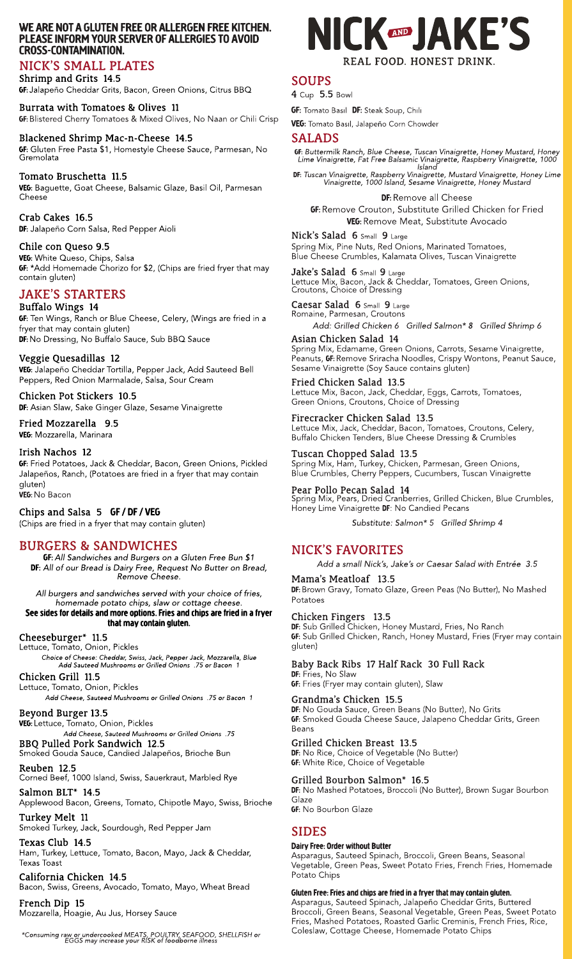## WE ARE NOT A GLUTEN FREE OR ALLERGEN FREE KITCHEN. PLEASE INFORM YOUR SERVER OF ALLERGIES TO AVOID CROSS-CONTAMINATION.

# NICK?SSMALL PLATES

### Shrimp and Grits 14.5

GF:Jalapeño Cheddar Grits, Bacon, Green Onions, Citrus BBQ

### Burrata with Tomatoes& Olives 11

**GF:** Blistered Cherry Tomatoes & Mixed Olives, No Naan or Chili Crisp

Crab Cakes 16.5 DF: Jalapeño Corn Salsa, Red Pepper Aioli

## Blackened Shrimp Mac-n-Cheese 14.5

VEG: White Queso, Chips, Salsa **GF:** \*Add Homemade Chorizo for \$2, (Chips are fried fryer that may contain gluten)

# **JAKE'S STARTERS**

GF: Gluten Free Pasta \$1, Homestyle Cheese Sauce, Parmesan, No Gremolata

## Tomato Bruschetta 11.5

VEG: Baguette, Goat Cheese, Balsamic Glaze, Basil Oil, Parmesan Cheese

Chicken Pot Stickers 10.5 DF: Asian Slaw, Sake Ginger Glaze, Sesame Vinaigrette

### Chile con Queso 9.5

### Buffalo Wings 14

**GF:** Ten Wings, Ranch or Blue Cheese, Celery, (Wings are fried in a fryer that may contain gluten) DF: No Dressing, No Buffalo Sauce, Sub BBQ Sauce

## Veggie Quesadillas 12

VEG: Jalapeño Cheddar Tortilla, Pepper Jack, Add Sauteed Bell Peppers, Red Onion Marmalade, Salsa, Sour Cream

VEG: Lettuce, Tomato, Onion, Pickles **Add Cheese, Sauteed Mushroomsor Grilled Onions .75**

BBQ Pulled Pork Sandwich 12.5

Fried Mozzarella 9.5 VEG: Mozzarella, Marinara

#### Irish Nachos 12

GF: Fried Potatoes, Jack & Cheddar, Bacon, Green Onions, Pickled Jalapeños, Ranch, (Potatoes are fried in a fryer that may contain gluten)

VEG: No Bacon

## Chips and Salsa 5 GF/ DF/ VEG

(Chips are fried in a fryer that may contain gluten)

# BURGERS& SANDWICHES

GF:**All Sandwichesand Burgers on a Gluten Free Bun \$1** DF: **All of our Bread is Dairy Free, Request No Butter on Bread, Remove Cheese.**

**All burgersand sandwichesserved with your choice of fries, homemade potato chips, slaw or cottage cheese.**

#### See sides for details and more options. Fries and chips are fried in a fryer that may contain gluten.

Nick's Salad 6 Small 9 Large Spring Mix, Pine Nuts, Red Onions, Marinated Tomatoes, Blue Cheese Crumbles, Kalamata Olives, Tuscan Vinaigrette

Jake's Salad 6 Small 9 Large Lettuce Mix, Bacon, Jack & Cheddar, Tomatoes, Green Onions, Croutons, Choice of Dressing

#### Cheeseburger\* 11.5

Asian Chicken Salad 14 Spring Mix, Edamame, Green Onions, Carrots, Sesame Vinaigrette, Peanuts, GF: Remove Sriracha Noodles, Crispy Wontons, Peanut Sauce, Sesame Vinaigrette (Soy Sauce contains gluten)

Lettuce, Tomato, Onion, Pickles **Choice of Cheese: Cheddar, Swiss, Jack, Pepper Jack, Mozzarella, Blue Add Sauteed Mushroomsor Grilled Onions .75 or Bacon 1**

#### Chicken Grill 11.5

Lettuce, Tomato, Onion, Pickles

**Add Cheese, Sauteed Mushroomsor Grilled Onions .75 or Bacon 1**

#### Beyond Burger 13.5

Spring Mix, Pears, Dried Cranberries, Grilled Chicken, Blue Crumbles, Honey Lime Vinaigrette DF: No Candied Pecans

Smoked Gouda Sauce, Candied Jalapeños, Brioche Bun



Reuben 12.5 Corned Beef, 1000 Island, Swiss, Sauerkraut, Marbled Rye DF: Brown Gravy, Tomato Glaze, Green Peas (No Butter), No Mashed Potatoes

Salmon BLT\* 14.5 Applewood Bacon, Greens, Tomato, Chipotle Mayo, Swiss, Brioche

DF: Sub Grilled Chicken, Honey Mustard, Fries, No Ranch GF: Sub Grilled Chicken, Ranch, Honey Mustard, Fries (Fryer may contain gluten)

DF: Fries, No Slaw GF: Fries (Fryer may contain gluten), Slaw

Turkey Melt 11 Smoked Turkey, Jack, Sourdough, Red Pepper Jam DF: No Gouda Sauce, Green Beans (No Butter), No Grits GF: Smoked Gouda Cheese Sauce, Jalapeno Cheddar Grits, Green Beans

Texas Club 14.5 Ham, Turkey, Lettuce, Tomato, Bacon, Mayo, Jack & Cheddar, Texas Toast

California Chicken 14.5 Bacon, Swiss, Greens, Avocado, Tomato, Mayo, Wheat Bread

French Dip 15 Mozzarella, Hoagie, Au Jus, Horsey Sauce

\*Consuming raw or undercooked MEATS, POULTRY, SEAFOOD, SHELLFISH or<br>EGGS may increase your RISK of foodborne illness

**GF:** White Rice, Choice of Vegetable

# SOUPS

4 Cup 5.5 Bowl

**GF:** Tomato Basil DF: Steak Soup, Chili

VEG: Tomato Basil, Jalapeño Corn Chowder

# SALADS

GF: **Buttermilk Ranch, Blue Cheese, Tuscan Vinaigrette, Honey Mustard, Honey Lime Vinaigrette, Fat Free Balsamic Vinaigrette, Raspberry Vinaigrette, 1000 Island**

DF: **Tuscan Vinaigrette, Raspberry Vinaigrette, Mustard Vinaigrette, Honey Lime Vinaigrette, 1000 Island, Sesame Vinaigrette, Honey Mustard**

DF: Remove all Cheese GF:Remove Crouton, Substitute Grilled Chicken for Fried VEG: Remove Meat, Substitute Avocado

Caesar Salad 6 Small 9 Large Romaine, Parmesan, Croutons

**Add: Grilled Chicken 6 Grilled Salmon\* 8 Grilled Shrimp 6**

Fried Chicken Salad 13.5 Lettuce Mix, Bacon, Jack, Cheddar, Eggs, Carrots, Tomatoes, Green Onions, Croutons, Choice of Dressing

#### Firecracker Chicken Salad 13.5

Lettuce Mix, Jack, Cheddar, Bacon, Tomatoes, Croutons, Celery, Buffalo Chicken Tenders, Blue Cheese Dressing & Crumbles

#### Tuscan Chopped Salad 13.5

Spring Mix, Ham, Turkey, Chicken, Parmesan, Green Onions, Blue Crumbles, Cherry Peppers, Cucumbers, Tuscan Vinaigrette

#### Pear Pollo Pecan Salad 14

**Substitute: Salmon\* 5 Grilled Shrimp 4**

# NICK?SFAVORITES

**Add a small Nick?s, Jake?sor Caesar Salad with Entrée 3.5**

Mama?s Meatloaf 13.5

#### Chicken Fingers 13.5

# Baby Back Ribs 17 Half Rack 30 Full Rack

#### Grandma?s Chicken 15.5

#### Grilled Chicken Breast 13.5

DF: No Rice, Choice of Vegetable (No Butter)

## Grilled Bourbon Salmon\* 16.5

DF: No Mashed Potatoes, Broccoli (No Butter), Brown Sugar Bourbon **Glaze GF:** No Bourbon Glaze

# SIDES

#### Dairy Free: Order without Butter

Asparagus, Sauteed Spinach, Broccoli, Green Beans, Seasonal Vegetable, Green Peas, Sweet Potato Fries, French Fries, Homemade Potato Chips

#### Gluten Free: Fries and chips are fried in a fryer that may contain gluten.

Asparagus, Sauteed Spinach, Jalapeño Cheddar Grits, Buttered Broccoli, Green Beans, Seasonal Vegetable, Green Peas, Sweet Potato Fries, Mashed Potatoes, Roasted Garlic Creminis, French Fries, Rice, Coleslaw, Cottage Cheese, Homemade Potato Chips